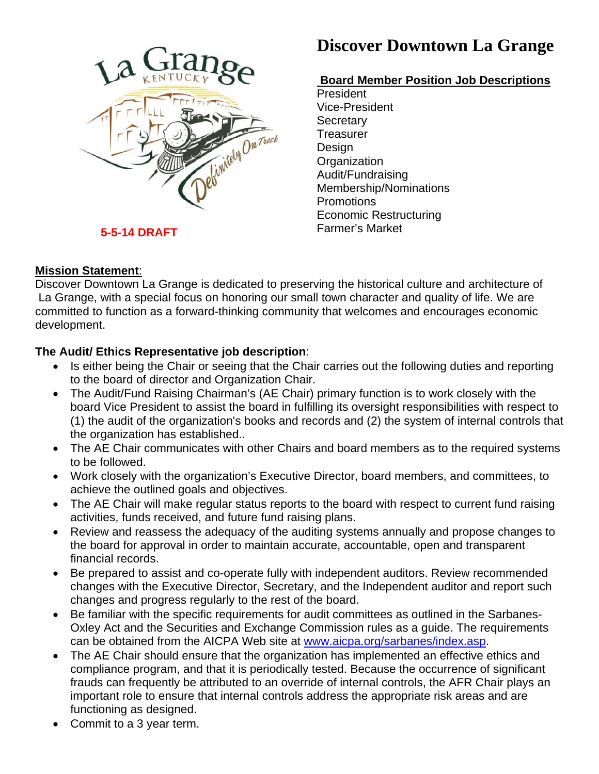

# **Discover Downtown La Grange**

## **Board Member Position Job Descriptions**

President Vice-President **Secretary Treasurer** Design **Organization** Audit/Fundraising Membership/Nominations **Promotions** Economic Restructuring Farmer's Market

### **Mission Statement**:

Discover Downtown La Grange is dedicated to preserving the historical culture and architecture of La Grange, with a special focus on honoring our small town character and quality of life. We are committed to function as a forward-thinking community that welcomes and encourages economic development.

### **The Audit/ Ethics Representative job description**:

- Is either being the Chair or seeing that the Chair carries out the following duties and reporting to the board of director and Organization Chair.
- The Audit/Fund Raising Chairman's (AE Chair) primary function is to work closely with the board Vice President to assist the board in fulfilling its oversight responsibilities with respect to (1) the audit of the organization's books and records and (2) the system of internal controls that the organization has established..
- The AE Chair communicates with other Chairs and board members as to the required systems to be followed.
- Work closely with the organization's Executive Director, board members, and committees, to achieve the outlined goals and objectives.
- The AE Chair will make regular status reports to the board with respect to current fund raising activities, funds received, and future fund raising plans.
- Review and reassess the adequacy of the auditing systems annually and propose changes to the board for approval in order to maintain accurate, accountable, open and transparent financial records.
- Be prepared to assist and co-operate fully with independent auditors. Review recommended changes with the Executive Director, Secretary, and the Independent auditor and report such changes and progress regularly to the rest of the board.
- Be familiar with the specific requirements for audit committees as outlined in the Sarbanes-Oxley Act and the Securities and Exchange Commission rules as a guide. The requirements can be obtained from the AICPA Web site at [www.aicpa.org/sarbanes/index.asp.](http://www.aicpa.org/sarbanes/index.asp)
- The AE Chair should ensure that the organization has implemented an effective ethics and compliance program, and that it is periodically tested. Because the occurrence of significant frauds can frequently be attributed to an override of internal controls, the AFR Chair plays an important role to ensure that internal controls address the appropriate risk areas and are functioning as designed.
- Commit to a 3 year term.